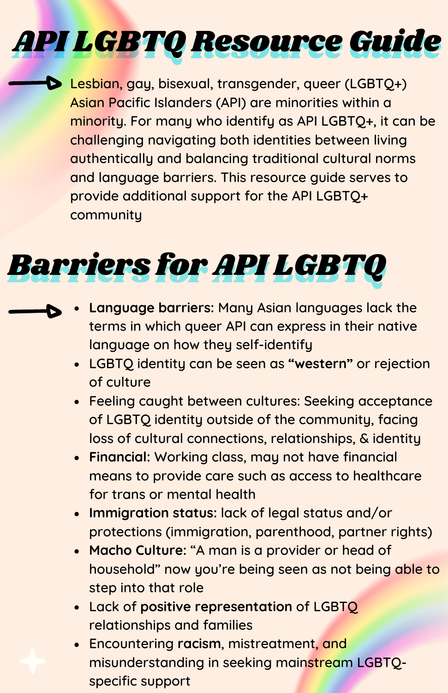### API LGBTQ Resource Guide

Lesbian, gay, bisexual, transgender, queer (LGBTQ+) Asian Pacific Islanders (API) are minorities within a minority. For many who identify as API LGBTQ+, it can be challenging navigating both identities between living authentically and balancing traditional cultural norms and language barriers. This resource guide serves to provide additional support for the API LGBTQ+ community

# Barriers for API LGBTQ

- 
- **Language barriers:** Many Asian languages lack the terms in which queer API can express in their native language on how they self-identify
- LGBTQ identity can be seen as **"western"** or rejection of culture
- Feeling caught between cultures: Seeking acceptance of LGBTQ identity outside of the community, facing loss of cultural connections, relationships, & identity
- **Financial:** Working class, may not have financial means to provide care such as access to healthcare for trans or mental health
- **Immigration status:** lack of legal status and/or protections (immigration, parenthood, partner rights)
- **Macho Culture:** "A man is a provider or head of household" now you're being seen as not being able to step into that role
- Lack of **positive representation** of LGBTQ relationships and families
- Encountering **racism**, mistreatment, and misunderstanding in seeking mainstream LGBTQspecific support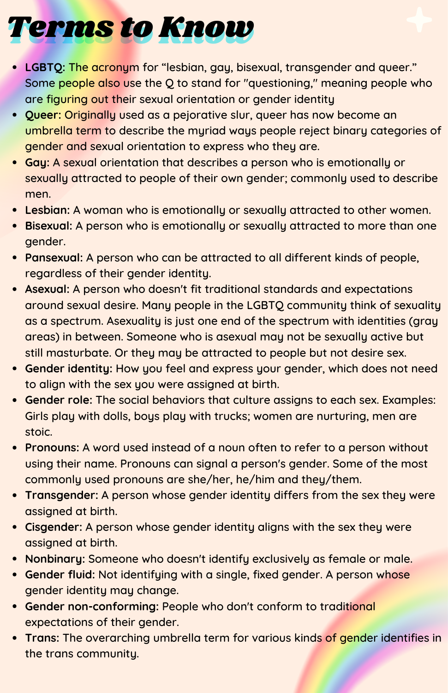#### Terms to Know

- **LGBTQ:** The acronym for "lesbian, gay, bisexual, transgender and queer." Some people also use the Q to stand for "questioning," meaning people who are figuring out their sexual orientation or gender identity
- **Queer:** Originally used as a pejorative slur, queer has now become an umbrella term to describe the myriad ways people reject binary categories of gender and sexual orientation to express who they are.
- **Gay:** A sexual orientation that describes a person who is emotionally or sexually attracted to people of their own gender; commonly used to describe men.
- **Lesbian:** A woman who is emotionally or sexually attracted to other women.
- **Bisexual:** A person who is emotionally or sexually attracted to more than one gender.
- **Pansexual:** A person who can be attracted to all different kinds of people, regardless of their gender identity.
- **Asexual:** A person who doesn't fit traditional standards and expectations around sexual desire. Many people in the LGBTQ community think of sexuality as a spectrum. Asexuality is just one end of the spectrum with identities (gray areas) in between. Someone who is asexual may not be sexually active but still masturbate. Or they may be attracted to people but not desire sex.
- **Gender identity:** How you feel and express your gender, which does not need to align with the sex you were assigned at birth.
- **Gender role:** The social behaviors that culture assigns to each sex. Examples: Girls play with dolls, boys play with trucks; women are nurturing, men are stoic.
- **Pronouns:** A word used instead of a noun often to refer to a person without using their name. Pronouns can signal a person's gender. Some of the most commonly used pronouns are she/her, he/him and they/them.
- **Transgender:** A person whose gender identity differs from the sex they were assigned at birth.
- **Cisgender:** A person whose gender identity aligns with the sex they were assigned at birth.
- **Nonbinary:** Someone who doesn't identify exclusively as female or male.
- **Gender fluid:** Not identifying with a single, fixed gender. A person whose gender identity may change.
- **Gender non-conforming:** People who don't conform to traditional expectations of their gender.
- **Trans:** The overarching umbrella term for various kinds of gender identifies in the trans community.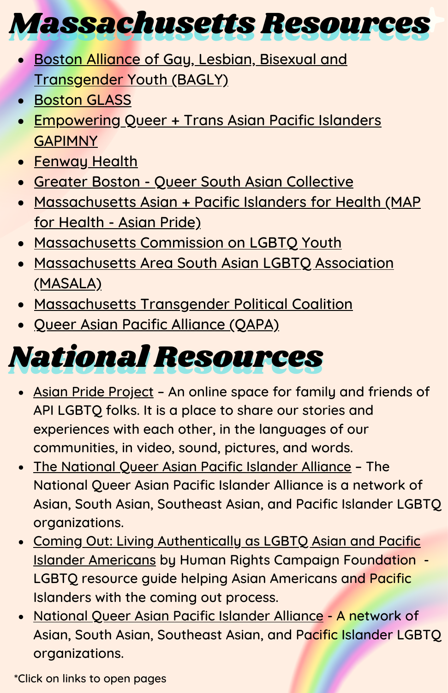

- Boston Alliance of Gay, Lesbian, Bisexual and [Transgender](http://bagly.org/) Youth (BAGLY)
- **[Boston](https://jri.org/services/health-and-housing/health/boston-glass) GLASS**
- **[Empowering](http://gapimny.org/) Queer + Trans Asian Pacific Islanders** GAPIMNY
- [Fenway](https://fenwayhealth.org/) Health
- Greater Boston Queer South Asian [Collective](https://www.facebook.com/queersouthasiancollective/)
- [Massachusetts](https://www.maphealth.org/asian-pride) Asian + Pacific Islanders for Health (MAP for Health - Asian Pride)
- [Massachusetts](https://www.mass.gov/orgs/massachusetts-commission-on-lgbtq-youth) Commission on LGBTQ Youth
- [Massachusetts](https://www.facebook.com/bostonmasala/) Area South Asian LGBTQ Association (MASALA)
- [Massachusetts](https://www.masstpc.org/) Transgender Political Coalition
- Queer Asian Pacific [Alliance](https://www.qapa.org/) (QAPA)

#### National Resources

- Asian Pride [Project](http://asianprideproject.org/) An online space for family and friends of API LGBTQ folks. It is a place to share our stories and experiences with each other, in the languages of our communities, in video, sound, pictures, and words.
- The [National](http://www.nqapia.org/wpp) Queer Asian Pacific Islander Alliance The National Queer Asian Pacific Islander Alliance is a network of Asian, South Asian, Southeast Asian, and Pacific Islander LGBTQ organizations.
- Coming Out: Living [Authentically](https://assets2.hrc.org/files/assets/resources/HRC-Coming_Out-API-FINAL-web-2018.pdf) as LGBTQ Asian and Pacific Islander Americans by Human Rights Campaign Foundation - LGBTQ resource guide helping Asian Americans and Pacific Islanders with the coming out process.
- [National](http://www.nqapia.org/wpp/) Queer Asian Pacific Islander Alliance [-](http://www.nqapia.org/wpp/) A network of Asian, South Asian, Southeast Asian, and Pacific Islander LGBTQ organizations.

\*Click on links to open pages